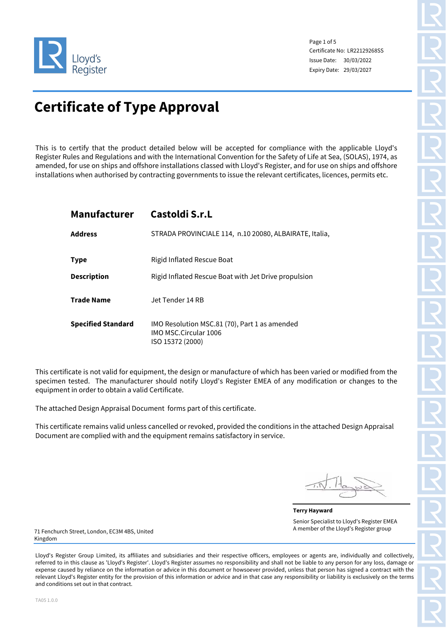

Page 1 of 5 Certificate No: LR22129268SS Issue Date: 30/03/2022 Expiry Date: 29/03/2027

# **Certificate of Type Approval**

This is to certify that the product detailed below will be accepted for compliance with the applicable Lloyd's Register Rules and Regulations and with the International Convention for the Safety of Life at Sea, (SOLAS), 1974, as amended, for use on ships and offshore installations classed with Lloyd's Register, and for use on ships and offshore installations when authorised by contracting governments to issue the relevant certificates, licences, permits etc.

# **Manufacturer Castoldi S.r.L**

| <b>Address</b>            | STRADA PROVINCIALE 114, n.10 20080, ALBAIRATE, Italia,                                            |
|---------------------------|---------------------------------------------------------------------------------------------------|
| <b>Type</b>               | Rigid Inflated Rescue Boat                                                                        |
| <b>Description</b>        | Rigid Inflated Rescue Boat with Jet Drive propulsion                                              |
| <b>Trade Name</b>         | Jet Tender 14 RB                                                                                  |
| <b>Specified Standard</b> | IMO Resolution MSC.81 (70), Part 1 as amended<br><b>IMO MSC.Circular 1006</b><br>ISO 15372 (2000) |

This certificate is not valid for equipment, the design or manufacture of which has been varied or modified from the specimen tested. The manufacturer should notify Lloyd's Register EMEA of any modification or changes to the equipment in order to obtain a valid Certificate.

The attached Design Appraisal Document forms part of this certificate.

This certificate remains valid unless cancelled or revoked, provided the conditions in the attached Design Appraisal Document are complied with and the equipment remains satisfactory in service.

**Terry Hayward** Senior Specialist to Lloyd's Register EMEA A member of the Lloyd's Register group

71 Fenchurch Street, London, EC3M 4BS, United Kingdom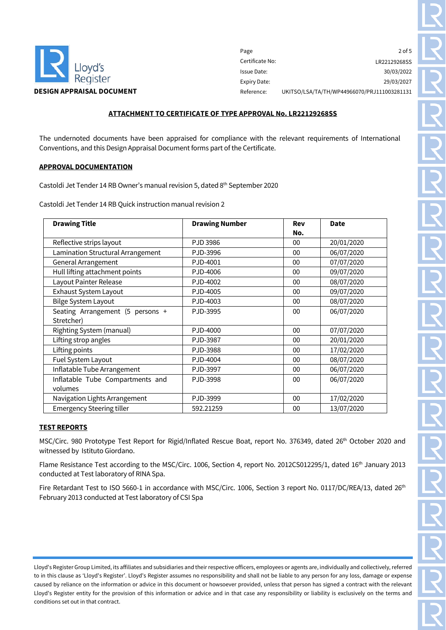

Page Certificate No: Issue Date: Expiry Date: 2 of 5 LR22129268SS 30/03/2022 29/03/2027 UKITSO/LSA/TA/TH/WP44966070/PRJ111003281131

#### **ATTACHMENT TO CERTIFICATE OF TYPE APPROVAL No. LR22129268SS**

The undernoted documents have been appraised for compliance with the relevant requirements of International Conventions, and this Design Appraisal Document forms part of the Certificate.

#### **APPROVAL DOCUMENTATION**

Castoldi Jet Tender 14 RB Owner's manual revision 5, dated 8<sup>th</sup> September 2020

Castoldi Jet Tender 14 RB Quick instruction manual revision 2

| <b>Drawing Title</b>              | <b>Drawing Number</b> | Rev    | <b>Date</b> |
|-----------------------------------|-----------------------|--------|-------------|
|                                   |                       | No.    |             |
| Reflective strips layout          | PJD 3986              | 00     | 20/01/2020  |
| Lamination Structural Arrangement | PJD-3996              | 00     | 06/07/2020  |
| General Arrangement               | PJD-4001              | 00     | 07/07/2020  |
| Hull lifting attachment points    | PJD-4006              | 00     | 09/07/2020  |
| Layout Painter Release            | PJD-4002              | 00     | 08/07/2020  |
| <b>Exhaust System Layout</b>      | PJD-4005              | 00     | 09/07/2020  |
| <b>Bilge System Layout</b>        | PJD-4003              | $00\,$ | 08/07/2020  |
| Seating Arrangement (5 persons +  | PJD-3995              | 00     | 06/07/2020  |
| Stretcher)                        |                       |        |             |
| Righting System (manual)          | PJD-4000              | 00     | 07/07/2020  |
| Lifting strop angles              | PJD-3987              | 00     | 20/01/2020  |
| Lifting points                    | PJD-3988              | 00     | 17/02/2020  |
| Fuel System Layout                | PJD-4004              | 00     | 08/07/2020  |
| Inflatable Tube Arrangement       | PJD-3997              | 00     | 06/07/2020  |
| Inflatable Tube Compartments and  | PJD-3998              | 00     | 06/07/2020  |
| volumes                           |                       |        |             |
| Navigation Lights Arrangement     | PJD-3999              | 00     | 17/02/2020  |
| <b>Emergency Steering tiller</b>  | 592.21259             | 00     | 13/07/2020  |

# **TEST REPORTS**

MSC/Circ. 980 Prototype Test Report for Rigid/Inflated Rescue Boat, report No. 376349, dated 26th October 2020 and witnessed by Istituto Giordano.

Flame Resistance Test according to the MSC/Circ. 1006, Section 4, report No. 2012CS012295/1, dated 16<sup>th</sup> January 2013 conducted at Test laboratory of RINA Spa.

Fire Retardant Test to ISO 5660-1 in accordance with MSC/Circ. 1006, Section 3 report No. 0117/DC/REA/13, dated 26<sup>th</sup> February 2013 conducted at Test laboratory of CSI Spa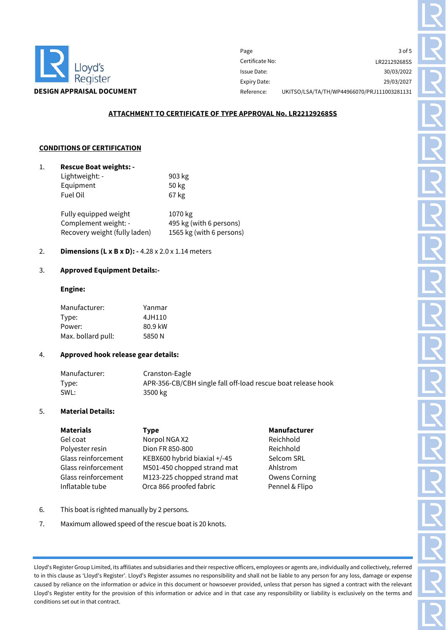

| Page            | 3 of 5                                      |
|-----------------|---------------------------------------------|
| Certificate No: | LR22129268SS                                |
| Issue Date:     | 30/03/2022                                  |
| Expiry Date:    | 29/03/2027                                  |
| Reference:      | UKITSO/LSA/TA/TH/WP44966070/PRJ111003281131 |

# **ATTACHMENT TO CERTIFICATE OF TYPE APPROVAL No. LR22129268SS**

#### **CONDITIONS OF CERTIFICATION**

| <b>Rescue Boat weights: -</b> |        |  |
|-------------------------------|--------|--|
| Lightweight: -                | 903 kg |  |
| Equipment                     | 50 kg  |  |
| Fuel Oil                      | 67 kg  |  |

| Fully equipped weight         | 1070 kg                  |
|-------------------------------|--------------------------|
| Complement weight: -          | 495 kg (with 6 persons)  |
| Recovery weight (fully laden) | 1565 kg (with 6 persons) |

# 2. **Dimensions (L x B x D): -** 4.28 x 2.0 x 1.14 meters

#### 3. **Approved Equipment Details:-**

### **Engine:**

| Manufacturer:      | Yanmar  |
|--------------------|---------|
| Type:              | 4JH110  |
| Power:             | 80.9 kW |
| Max. bollard pull: | 5850 N  |

#### 4. **Approved hook release gear details:**

| Manufacturer: | Cranston-Eagle                                               |
|---------------|--------------------------------------------------------------|
| Type:         | APR-356-CB/CBH single fall off-load rescue boat release hook |
| SWL:          | 3500 kg                                                      |

#### 5. **Material Details:**

| <b>Materials</b>    | <b>Type</b>                  | Manufacturer         |
|---------------------|------------------------------|----------------------|
| Gel coat            | Norpol NGA X2                | Reichhold            |
| Polyester resin     | Dion FR 850-800              | Reichhold            |
| Glass reinforcement | KEBX600 hybrid biaxial +/-45 | Selcom SRL           |
| Glass reinforcement | M501-450 chopped strand mat  | Ahlstrom             |
| Glass reinforcement | M123-225 chopped strand mat  | <b>Owens Corning</b> |
| Inflatable tube     | Orca 866 proofed fabric      | Pennel & Flipo       |

- 6. This boat is righted manually by 2 persons.
- 7. Maximum allowed speed of the rescue boat is 20 knots.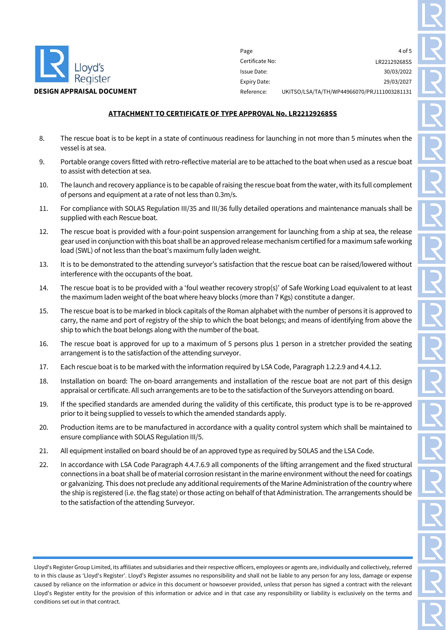

Page Certificate No: Issue Date: Expiry Date:  $4$  of  $5$ LR22129268SS 30/03/2022 29/03/2027 UKITSO/LSA/TA/TH/WP44966070/PRJ111003281131

# **ATTACHMENT TO CERTIFICATE OF TYPE APPROVAL No. LR22129268SS**

- 8. The rescue boat is to be kept in a state of continuous readiness for launching in not more than 5 minutes when the vessel is at sea.
- 9. Portable orange covers fitted with retro-reflective material are to be attached to the boat when used as a rescue boat to assist with detection at sea.
- 10. The launch and recovery appliance is to be capable of raising the rescue boat from the water, with its full complement of persons and equipment at a rate of not less than 0.3m/s.
- 11. For compliance with SOLAS Regulation III/35 and III/36 fully detailed operations and maintenance manuals shall be supplied with each Rescue boat.
- 12. The rescue boat is provided with a four-point suspension arrangement for launching from a ship at sea, the release gear used in conjunction with this boat shall be an approved release mechanism certified for a maximum safe working load (SWL) of not less than the boat's maximum fully laden weight.
- 13. It is to be demonstrated to the attending surveyor's satisfaction that the rescue boat can be raised/lowered without interference with the occupants of the boat.
- 14. The rescue boat is to be provided with a 'foul weather recovery strop(s)' of Safe Working Load equivalent to at least the maximum laden weight of the boat where heavy blocks (more than 7 Kgs) constitute a danger.
- 15. The rescue boat is to be marked in block capitals of the Roman alphabet with the number of persons it is approved to carry, the name and port of registry of the ship to which the boat belongs; and means of identifying from above the ship to which the boat belongs along with the number of the boat.
- 16. The rescue boat is approved for up to a maximum of 5 persons plus 1 person in a stretcher provided the seating arrangement is to the satisfaction of the attending surveyor.
- 17. Each rescue boat is to be marked with the information required by LSA Code, Paragraph 1.2.2.9 and 4.4.1.2.
- 18. Installation on board: The on-board arrangements and installation of the rescue boat are not part of this design appraisal or certificate. All such arrangements are to be to the satisfaction of the Surveyors attending on board.
- 19. If the specified standards are amended during the validity of this certificate, this product type is to be re-approved prior to it being supplied to vessels to which the amended standards apply.
- 20. Production items are to be manufactured in accordance with a quality control system which shall be maintained to ensure compliance with SOLAS Regulation III/5.
- 21. All equipment installed on board should be of an approved type as required by SOLAS and the LSA Code.
- 22. In accordance with LSA Code Paragraph 4.4.7.6.9 all components of the lifting arrangement and the fixed structural connections in a boat shall be of material corrosion resistant in the marine environment without the need for coatings or galvanizing. This does not preclude any additional requirements of the Marine Administration of the country where the ship is registered (i.e. the flag state) or those acting on behalf of that Administration. The arrangements should be to the satisfaction of the attending Surveyor.